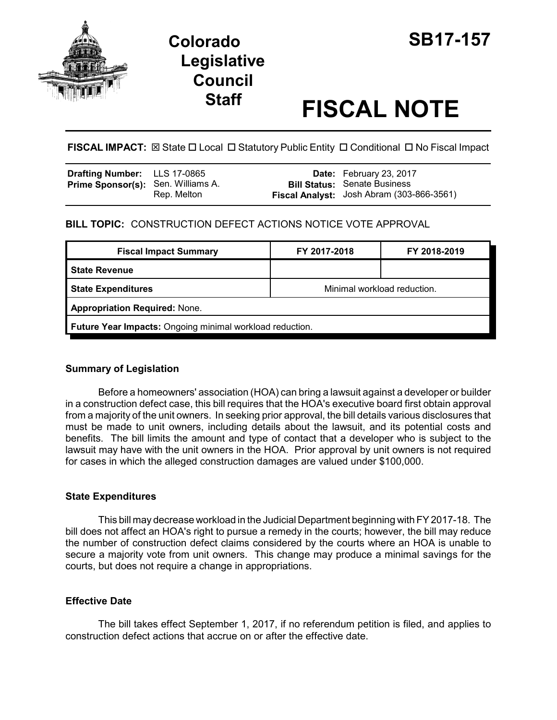

## **Colorado SB17-157 Legislative Council**

# **Staff FISCAL NOTE**

**FISCAL IMPACT:** ⊠ State □ Local □ Statutory Public Entity □ Conditional □ No Fiscal Impact

| Drafting Number: LLS 17-0865              |             | <b>Date:</b> February 23, 2017                                                   |
|-------------------------------------------|-------------|----------------------------------------------------------------------------------|
| <b>Prime Sponsor(s):</b> Sen. Williams A. | Rep. Melton | <b>Bill Status:</b> Senate Business<br>Fiscal Analyst: Josh Abram (303-866-3561) |

#### **BILL TOPIC:** CONSTRUCTION DEFECT ACTIONS NOTICE VOTE APPROVAL

| <b>Fiscal Impact Summary</b>                             | FY 2017-2018                | FY 2018-2019 |  |  |  |
|----------------------------------------------------------|-----------------------------|--------------|--|--|--|
| <b>State Revenue</b>                                     |                             |              |  |  |  |
| <b>State Expenditures</b>                                | Minimal workload reduction. |              |  |  |  |
| <b>Appropriation Required: None.</b>                     |                             |              |  |  |  |
| Future Year Impacts: Ongoing minimal workload reduction. |                             |              |  |  |  |

#### **Summary of Legislation**

Before a homeowners' association (HOA) can bring a lawsuit against a developer or builder in a construction defect case, this bill requires that the HOA's executive board first obtain approval from a majority of the unit owners. In seeking prior approval, the bill details various disclosures that must be made to unit owners, including details about the lawsuit, and its potential costs and benefits. The bill limits the amount and type of contact that a developer who is subject to the lawsuit may have with the unit owners in the HOA. Prior approval by unit owners is not required for cases in which the alleged construction damages are valued under \$100,000.

#### **State Expenditures**

This bill may decrease workload in the Judicial Department beginning with FY 2017-18. The bill does not affect an HOA's right to pursue a remedy in the courts; however, the bill may reduce the number of construction defect claims considered by the courts where an HOA is unable to secure a majority vote from unit owners. This change may produce a minimal savings for the courts, but does not require a change in appropriations.

#### **Effective Date**

The bill takes effect September 1, 2017, if no referendum petition is filed, and applies to construction defect actions that accrue on or after the effective date.